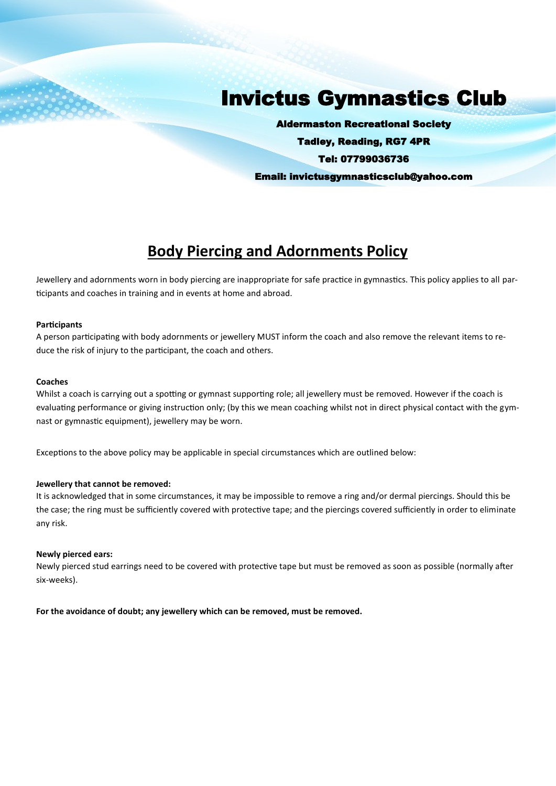# Invictus Gymnastics Club

Aldermaston Recreational Society Tadley, Reading, RG7 4PR Tel: 07799036736 Email: invictusgymnasticsclub@yahoo.com

## **Body Piercing and Adornments Policy**

Jewellery and adornments worn in body piercing are inappropriate for safe practice in gymnastics. This policy applies to all participants and coaches in training and in events at home and abroad.

#### **Participants**

A person participating with body adornments or jewellery MUST inform the coach and also remove the relevant items to reduce the risk of injury to the participant, the coach and others.

#### **Coaches**

Whilst a coach is carrying out a spotting or gymnast supporting role; all jewellery must be removed. However if the coach is evaluating performance or giving instruction only; (by this we mean coaching whilst not in direct physical contact with the gymnast or gymnastic equipment), jewellery may be worn.

Exceptions to the above policy may be applicable in special circumstances which are outlined below:

#### **Jewellery that cannot be removed:**

It is acknowledged that in some circumstances, it may be impossible to remove a ring and/or dermal piercings. Should this be the case; the ring must be sufficiently covered with protective tape; and the piercings covered sufficiently in order to eliminate any risk.

#### **Newly pierced ears:**

Newly pierced stud earrings need to be covered with protective tape but must be removed as soon as possible (normally after six-weeks).

**For the avoidance of doubt; any jewellery which can be removed, must be removed.**